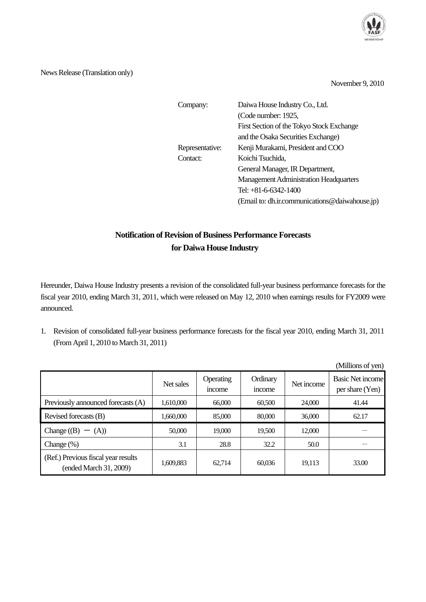

News Release (Translation only)

November 9, 2010

| Company:        | Daiwa House Industry Co., Ltd.                 |
|-----------------|------------------------------------------------|
|                 | (Code number: 1925,                            |
|                 | First Section of the Tokyo Stock Exchange      |
|                 | and the Osaka Securities Exchange)             |
| Representative: | Kenji Murakami, President and COO              |
| Contact:        | Koichi Tsuchida,                               |
|                 | General Manager, IR Department,                |
|                 | <b>Management Administration Headquarters</b>  |
|                 | Tel: +81-6-6342-1400                           |
|                 | (Email to: dh.ir.communications@daiwahouse.jp) |

## **Notification of Revision of Business Performance Forecasts for Daiwa House Industry**

Hereunder, Daiwa House Industry presents a revision of the consolidated full-year business performance forecasts for the fiscal year 2010, ending March 31, 2011, which were released on May 12, 2010 when earnings results for FY2009 were announced.

1. Revision of consolidated full-year business performance forecasts for the fiscal year 2010, ending March 31, 2011 (From April 1, 2010 to March 31, 2011)

|                                                               |           |                     |                    |            | $\mu$ and $\mu$ or $\mu$ $\mu$             |
|---------------------------------------------------------------|-----------|---------------------|--------------------|------------|--------------------------------------------|
|                                                               | Net sales | Operating<br>income | Ordinary<br>income | Net income | <b>Basic Net income</b><br>per share (Yen) |
| Previously announced forecasts (A)                            | 1,610,000 | 66,000              | 60,500             | 24,000     | 41.44                                      |
| Revised forecasts (B)                                         | 1,660,000 | 85,000              | 80,000             | 36,000     | 62.17                                      |
| Change $(B) - (A)$                                            | 50,000    | 19,000              | 19,500             | 12,000     |                                            |
| Change $(\%)$                                                 | 3.1       | 28.8                | 32.2               | 50.0       |                                            |
| (Ref.) Previous fiscal year results<br>(ended March 31, 2009) | 1,609,883 | 62,714              | 60,036             | 19,113     | 33.00                                      |

(Millions of yen)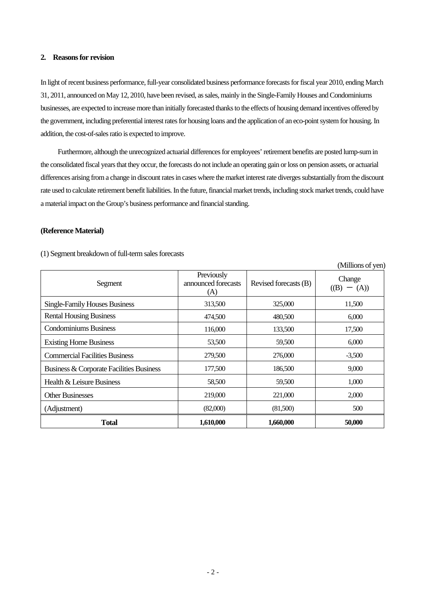## **2. Reasons for revision**

In light of recent business performance, full-year consolidated business performance forecasts for fiscal year 2010, ending March 31, 2011, announced on May 12, 2010, have been revised, as sales, mainly in the Single-Family Houses and Condominiums businesses, are expected to increase more than initially forecasted thanks to the effects of housing demand incentives offered by the government, including preferential interest rates for housing loans and the application of an eco-point system for housing. In addition, the cost-of-sales ratio is expected to improve.

Furthermore, although the unrecognized actuarial differences for employees' retirement benefits are posted lump-sum in the consolidated fiscal years that they occur, the forecasts do not include an operating gain or loss on pension assets, or actuarial differences arising from a change in discount rates in cases where the market interest rate diverges substantially from the discount rate used to calculate retirement benefit liabilities. In the future, financial market trends, including stock market trends, could have a material impact on the Group's business performance and financial standing.

## **(Reference Material)**

|                                          |                                          |                       | (Millions of yen)     |
|------------------------------------------|------------------------------------------|-----------------------|-----------------------|
| Segment                                  | Previously<br>announced forecasts<br>(A) | Revised forecasts (B) | Change<br>(B)<br>(A)) |
| <b>Single-Family Houses Business</b>     | 313,500                                  | 325,000               | 11,500                |
| <b>Rental Housing Business</b>           | 474,500                                  | 480,500               | 6,000                 |
| <b>Condominiums Business</b>             | 116,000                                  | 133,500               | 17,500                |
| <b>Existing Home Business</b>            | 53,500                                   | 59,500                | 6,000                 |
| <b>Commercial Facilities Business</b>    | 279,500                                  | 276,000               | $-3,500$              |
| Business & Corporate Facilities Business | 177,500                                  | 186,500               | 9,000                 |
| Health & Leisure Business                | 58,500                                   | 59,500                | 1,000                 |
| <b>Other Businesses</b>                  | 219,000                                  | 221,000               | 2,000                 |
| (Adjustment)                             | (82,000)                                 | (81,500)              | 500                   |
| <b>Total</b>                             | 1,610,000                                | 1,660,000             | 50,000                |

## (1) Segment breakdown of full-term sales forecasts